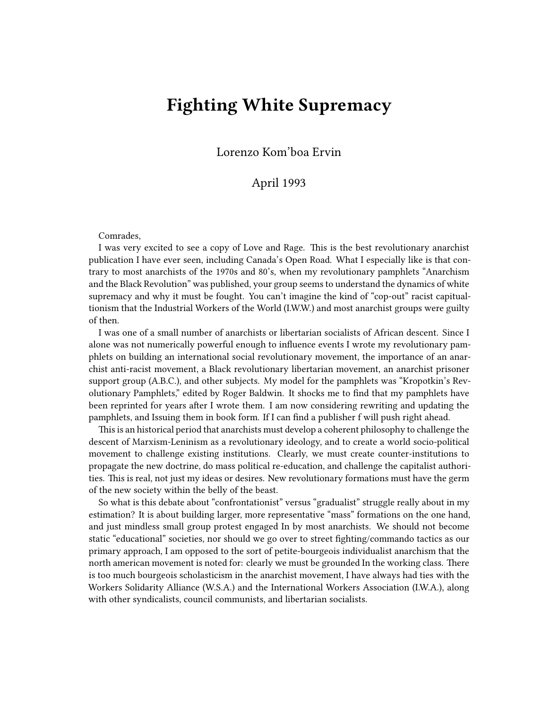## **Fighting White Supremacy**

Lorenzo Kom'boa Ervin

## April 1993

## Comrades,

I was very excited to see a copy of Love and Rage. This is the best revolutionary anarchist publication I have ever seen, including Canada's Open Road. What I especially like is that contrary to most anarchists of the 1970s and 80's, when my revolutionary pamphlets "Anarchism and the Black Revolution" was published, your group seems to understand the dynamics of white supremacy and why it must be fought. You can't imagine the kind of "cop-out" racist capitualtionism that the Industrial Workers of the World (I.W.W.) and most anarchist groups were guilty of then.

I was one of a small number of anarchists or libertarian socialists of African descent. Since I alone was not numerically powerful enough to influence events I wrote my revolutionary pamphlets on building an international social revolutionary movement, the importance of an anarchist anti-racist movement, a Black revolutionary libertarian movement, an anarchist prisoner support group (A.B.C.), and other subjects. My model for the pamphlets was "Kropotkin's Revolutionary Pamphlets," edited by Roger Baldwin. It shocks me to find that my pamphlets have been reprinted for years after I wrote them. I am now considering rewriting and updating the pamphlets, and Issuing them in book form. If I can find a publisher f will push right ahead.

This is an historical period that anarchists must develop a coherent philosophy to challenge the descent of Marxism-Leninism as a revolutionary ideology, and to create a world socio-political movement to challenge existing institutions. Clearly, we must create counter-institutions to propagate the new doctrine, do mass political re-education, and challenge the capitalist authorities. This is real, not just my ideas or desires. New revolutionary formations must have the germ of the new society within the belly of the beast.

So what is this debate about "confrontationist" versus "gradualist" struggle really about in my estimation? It is about building larger, more representative "mass" formations on the one hand, and just mindless small group protest engaged In by most anarchists. We should not become static "educational" societies, nor should we go over to street fighting/commando tactics as our primary approach, I am opposed to the sort of petite-bourgeois individualist anarchism that the north american movement is noted for: clearly we must be grounded In the working class. There is too much bourgeois scholasticism in the anarchist movement, I have always had ties with the Workers Solidarity Alliance (W.S.A.) and the International Workers Association (I.W.A.), along with other syndicalists, council communists, and libertarian socialists.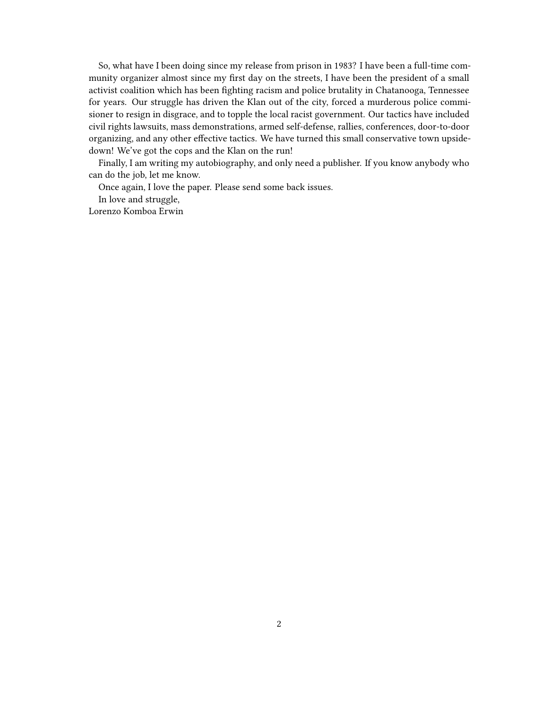So, what have I been doing since my release from prison in 1983? I have been a full-time community organizer almost since my first day on the streets, I have been the president of a small activist coalition which has been fighting racism and police brutality in Chatanooga, Tennessee for years. Our struggle has driven the Klan out of the city, forced a murderous police commisioner to resign in disgrace, and to topple the local racist government. Our tactics have included civil rights lawsuits, mass demonstrations, armed self-defense, rallies, conferences, door-to-door organizing, and any other effective tactics. We have turned this small conservative town upsidedown! We've got the cops and the Klan on the run!

Finally, I am writing my autobiography, and only need a publisher. If you know anybody who can do the job, let me know.

Once again, I love the paper. Please send some back issues.

In love and struggle,

Lorenzo Komboa Erwin